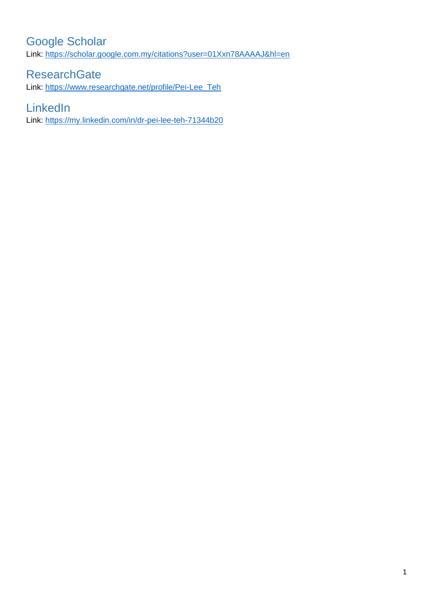# <span id="page-0-0"></span>Google Scholar

Link:<https://scholar.google.com.my/citations?user=01Xxn78AAAAJ&hl=en>

## <span id="page-0-1"></span>**ResearchGate**

Link: [https://www.researchgate.net/profile/Pei-Lee\\_Teh](https://www.researchgate.net/profile/Pei-Lee_Teh)

## <span id="page-0-2"></span>**LinkedIn**

Link:<https://my.linkedin.com/in/dr-pei-lee-teh-71344b20>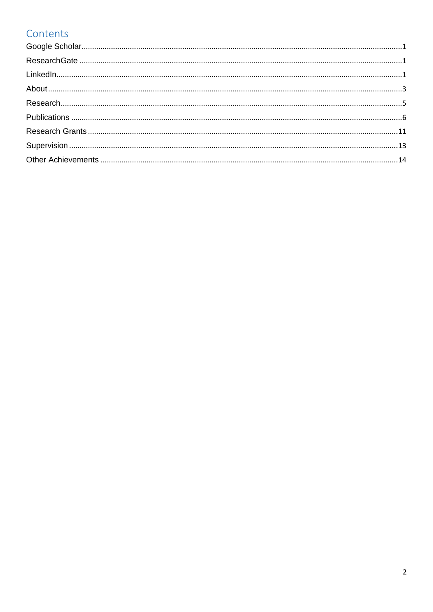# Contents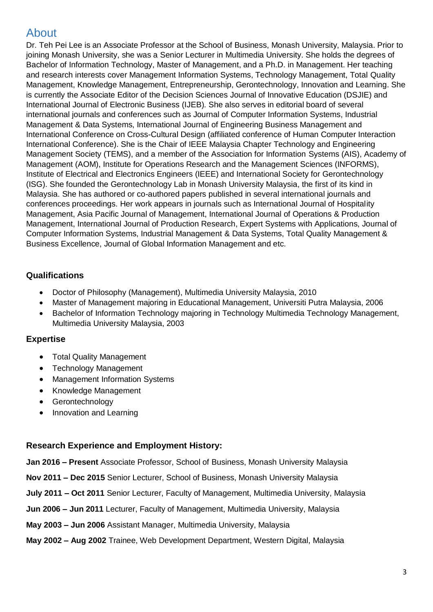# <span id="page-2-0"></span>About

Dr. Teh Pei Lee is an Associate Professor at the School of Business, Monash University, Malaysia. Prior to joining Monash University, she was a Senior Lecturer in Multimedia University. She holds the degrees of Bachelor of Information Technology, Master of Management, and a Ph.D. in Management. Her teaching and research interests cover Management Information Systems, Technology Management, Total Quality Management, Knowledge Management, Entrepreneurship, Gerontechnology, Innovation and Learning. She is currently the Associate Editor of the Decision Sciences Journal of Innovative Education (DSJIE) and International Journal of Electronic Business (IJEB). She also serves in editorial board of several international journals and conferences such as Journal of Computer Information Systems, Industrial Management & Data Systems, International Journal of Engineering Business Management and International Conference on Cross-Cultural Design (affiliated conference of Human Computer Interaction International Conference). She is the Chair of IEEE Malaysia Chapter Technology and Engineering Management Society (TEMS), and a member of the Association for Information Systems (AIS), Academy of Management (AOM), Institute for Operations Research and the Management Sciences (INFORMS), Institute of Electrical and Electronics Engineers (IEEE) and International Society for Gerontechnology (ISG). She founded the Gerontechnology Lab in Monash University Malaysia, the first of its kind in Malaysia. She has authored or co-authored papers published in several international journals and conferences proceedings. Her work appears in journals such as International Journal of Hospitality Management, Asia Pacific Journal of Management, International Journal of Operations & Production Management, International Journal of Production Research, Expert Systems with Applications, Journal of Computer Information Systems, Industrial Management & Data Systems, Total Quality Management & Business Excellence, Journal of Global Information Management and etc.

## **Qualifications**

- Doctor of Philosophy (Management), Multimedia University Malaysia, 2010
- Master of Management majoring in Educational Management, Universiti Putra Malaysia, 2006
- Bachelor of Information Technology majoring in Technology Multimedia Technology Management, Multimedia University Malaysia, 2003

### **Expertise**

- Total Quality Management
- Technology Management
- Management Information Systems
- Knowledge Management
- Gerontechnology
- Innovation and Learning

### **Research Experience and Employment History:**

**Jan 2016 – Present** Associate Professor, School of Business, Monash University Malaysia

- **Nov 2011 – Dec 2015** Senior Lecturer, School of Business, Monash University Malaysia
- **July 2011 – Oct 2011** Senior Lecturer, Faculty of Management, Multimedia University, Malaysia
- **Jun 2006 – Jun 2011** Lecturer, Faculty of Management, Multimedia University, Malaysia
- **May 2003 – Jun 2006** Assistant Manager, Multimedia University, Malaysia
- **May 2002 – Aug 2002** Trainee, Web Development Department, Western Digital, Malaysia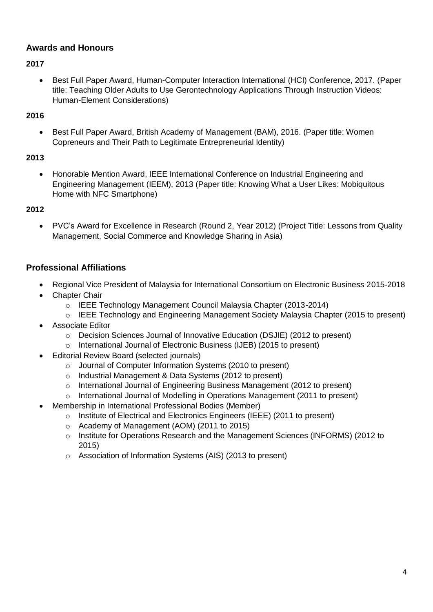### **Awards and Honours**

#### **2017**

 Best Full Paper Award, Human-Computer Interaction International (HCI) Conference, 2017. (Paper title: Teaching Older Adults to Use Gerontechnology Applications Through Instruction Videos: Human-Element Considerations)

#### **2016**

 Best Full Paper Award, British Academy of Management (BAM), 2016. (Paper title: Women Copreneurs and Their Path to Legitimate Entrepreneurial Identity)

#### **2013**

 Honorable Mention Award, IEEE International Conference on Industrial Engineering and Engineering Management (IEEM), 2013 (Paper title: Knowing What a User Likes: Mobiquitous Home with NFC Smartphone)

#### **2012**

 PVC's Award for Excellence in Research (Round 2, Year 2012) (Project Title: Lessons from Quality Management, Social Commerce and Knowledge Sharing in Asia)

#### **Professional Affiliations**

- Regional Vice President of Malaysia for International Consortium on Electronic Business 2015-2018
- Chapter Chair
	- o IEEE Technology Management Council Malaysia Chapter (2013-2014)
	- o IEEE Technology and Engineering Management Society Malaysia Chapter (2015 to present)
- Associate Editor
	- o Decision Sciences Journal of Innovative Education (DSJIE) (2012 to present)
	- o International Journal of Electronic Business (IJEB) (2015 to present)
- Editorial Review Board (selected journals)
	- o Journal of Computer Information Systems (2010 to present)
	- o Industrial Management & Data Systems (2012 to present)
	- o International Journal of Engineering Business Management (2012 to present)
	- $\circ$  International Journal of Modelling in Operations Management (2011 to present)
	- Membership in International Professional Bodies (Member)
		- $\circ$  Institute of Electrical and Electronics Engineers (IEEE) (2011 to present)
		- o Academy of Management (AOM) (2011 to 2015)
		- o Institute for Operations Research and the Management Sciences (INFORMS) (2012 to 2015)
		- o Association of Information Systems (AIS) (2013 to present)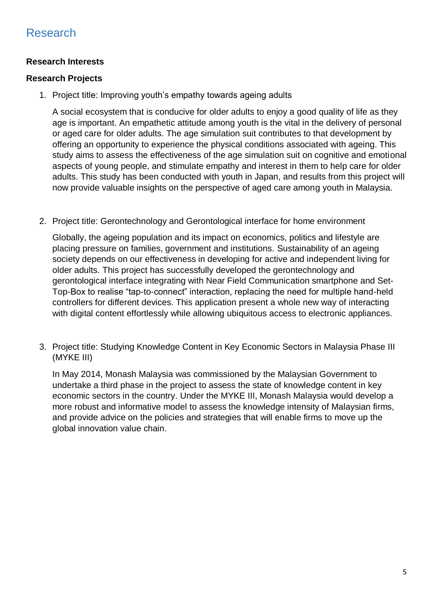## <span id="page-4-0"></span>Research

### **Research Interests**

### **Research Projects**

1. Project title: Improving youth's empathy towards ageing adults

A social ecosystem that is conducive for older adults to enjoy a good quality of life as they age is important. An empathetic attitude among youth is the vital in the delivery of personal or aged care for older adults. The age simulation suit contributes to that development by offering an opportunity to experience the physical conditions associated with ageing. This study aims to assess the effectiveness of the age simulation suit on cognitive and emotional aspects of young people, and stimulate empathy and interest in them to help care for older adults. This study has been conducted with youth in Japan, and results from this project will now provide valuable insights on the perspective of aged care among youth in Malaysia.

2. Project title: Gerontechnology and Gerontological interface for home environment

Globally, the ageing population and its impact on economics, politics and lifestyle are placing pressure on families, government and institutions. Sustainability of an ageing society depends on our effectiveness in developing for active and independent living for older adults. This project has successfully developed the gerontechnology and gerontological interface integrating with Near Field Communication smartphone and Set-Top-Box to realise "tap-to-connect" interaction, replacing the need for multiple hand-held controllers for different devices. This application present a whole new way of interacting with digital content effortlessly while allowing ubiquitous access to electronic appliances.

3. Project title: Studying Knowledge Content in Key Economic Sectors in Malaysia Phase III (MYKE III)

In May 2014, Monash Malaysia was commissioned by the Malaysian Government to undertake a third phase in the project to assess the state of knowledge content in key economic sectors in the country. Under the MYKE III, Monash Malaysia would develop a more robust and informative model to assess the knowledge intensity of Malaysian firms, and provide advice on the policies and strategies that will enable firms to move up the global innovation value chain.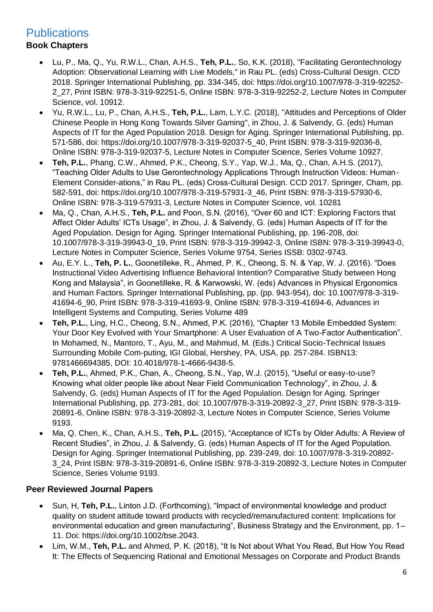## <span id="page-5-0"></span>**Publications**

## **Book Chapters**

- Lu, P., Ma, Q., Yu, R.W.L., Chan, A.H.S., **Teh, P.L.**, So, K.K. (2018), "Facilitating Gerontechnology Adoption: Observational Learning with Live Models," in Rau PL. (eds) Cross-Cultural Design. CCD 2018. Springer International Publishing, pp. 334-345, doi: https://doi.org/10.1007/978-3-319-92252- 2\_27, Print ISBN: 978-3-319-92251-5, Online ISBN: 978-3-319-92252-2, Lecture Notes in Computer Science, vol. 10912.
- Yu, R.W.L., Lu, P., Chan, A.H.S., **Teh, P.L.**, Lam, L.Y.C. (2018), "Attitudes and Perceptions of Older Chinese People in Hong Kong Towards Silver Gaming", in Zhou, J. & Salvendy, G. (eds) Human Aspects of IT for the Aged Population 2018. Design for Aging. Springer International Publishing, pp. 571-586, doi: https://doi.org/10.1007/978-3-319-92037-5\_40, Print ISBN: 978-3-319-92036-8, Online ISBN: 978-3-319-92037-5, Lecture Notes in Computer Science, Series Volume 10927.
- **Teh, P.L.**, Phang, C.W., Ahmed, P.K., Cheong, S.Y., Yap, W.J., Ma, Q., Chan, A.H.S. (2017), "Teaching Older Adults to Use Gerontechnology Applications Through Instruction Videos: Human-Element Consider-ations," in Rau PL. (eds) Cross-Cultural Design. CCD 2017. Springer, Cham, pp. 582-591, doi: https://doi.org/10.1007/978-3-319-57931-3\_46, Print ISBN: 978-3-319-57930-6, Online ISBN: 978-3-319-57931-3, Lecture Notes in Computer Science, vol. 10281
- Ma, Q., Chan, A.H.S., **Teh, P.L.** and Poon, S.N. (2016), "Over 60 and ICT: Exploring Factors that Affect Older Adults' ICTs Usage", in Zhou, J. & Salvendy, G. (eds) Human Aspects of IT for the Aged Population. Design for Aging. Springer International Publishing, pp. 196-208, doi: 10.1007/978-3-319-39943-0\_19, Print ISBN: 978-3-319-39942-3, Online ISBN: 978-3-319-39943-0, Lecture Notes in Computer Science, Series Volume 9754, Series ISSB: 0302-9743.
- Au, E.Y. L., **Teh, P. L.**, Goonetilleke, R., Ahmed, P. K., Cheong, S. N. & Yap, W. J. (2016). "Does Instructional Video Advertising Influence Behavioral Intention? Comparative Study between Hong Kong and Malaysia", in Goonetilleke, R. & Karwowski, W. (eds) Advances in Physical Ergonomics and Human Factors. Springer International Publishing, pp. (pp. 943-954), doi: 10.1007/978-3-319- 41694-6\_90, Print ISBN: 978-3-319-41693-9, Online ISBN: 978-3-319-41694-6, Advances in Intelligent Systems and Computing, Series Volume 489
- **Teh, P.L.**, Ling, H.C., Cheong, S.N., Ahmed, P.K. (2016), "Chapter 13 Mobile Embedded System: Your Door Key Evolved with Your Smartphone: A User Evaluation of A Two-Factor Authentication". In Mohamed, N., Mantoro, T., Ayu, M., and Mahmud, M. (Eds.) Critical Socio-Technical Issues Surrounding Mobile Com-puting, IGI Global, Hershey, PA, USA, pp. 257-284. ISBN13: 9781466694385, DOI: 10.4018/978-1-4666-9438-5.
- **Teh, P.L.**, Ahmed, P.K., Chan, A., Cheong, S.N., Yap, W.J. (2015), "Useful or easy-to-use? Knowing what older people like about Near Field Communication Technology", in Zhou, J. & Salvendy, G. (eds) Human Aspects of IT for the Aged Population. Design for Aging. Springer International Publishing, pp. 273-281, doi: 10.1007/978-3-319-20892-3\_27, Print ISBN: 978-3-319- 20891-6, Online ISBN: 978-3-319-20892-3, Lecture Notes in Computer Science, Series Volume 9193.
- Ma, Q. Chen, K., Chan, A.H.S., **Teh, P.L.** (2015), "Acceptance of ICTs by Older Adults: A Review of Recent Studies", in Zhou, J. & Salvendy, G. (eds) Human Aspects of IT for the Aged Population. Design for Aging. Springer International Publishing, pp. 239-249, doi: 10.1007/978-3-319-20892- 3\_24, Print ISBN: 978-3-319-20891-6, Online ISBN: 978-3-319-20892-3, Lecture Notes in Computer Science, Series Volume 9193.

### **Peer Reviewed Journal Papers**

- Sun, H, **Teh, P.L.**, Linton J.D. (Forthcoming), "Impact of environmental knowledge and product quality on student attitude toward products with recycled/remanufactured content: Implications for environmental education and green manufacturing", Business Strategy and the Environment, pp. 1– 11. Doi: https://doi.org/10.1002/bse.2043.
- Lim, W.M., **Teh, P.L.** and Ahmed, P. K. (2018), "It Is Not about What You Read, But How You Read It: The Effects of Sequencing Rational and Emotional Messages on Corporate and Product Brands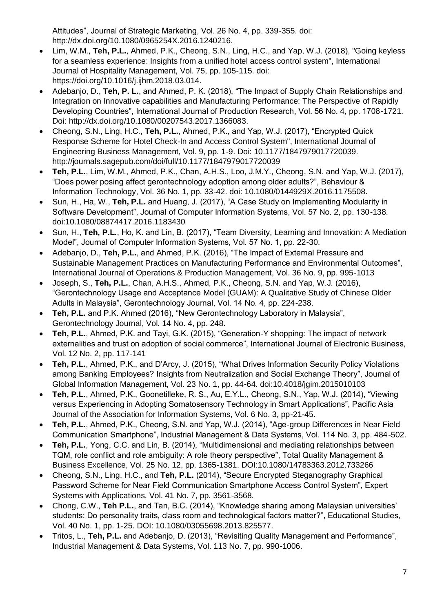Attitudes", Journal of Strategic Marketing, Vol. 26 No. 4, pp. 339-355. doi: http://dx.doi.org/10.1080/0965254X.2016.1240216.

- Lim, W.M., **Teh, P.L.**, Ahmed, P.K., Cheong, S.N., Ling, H.C., and Yap, W.J. (2018), "Going keyless for a seamless experience: Insights from a unified hotel access control system", International Journal of Hospitality Management, Vol. 75, pp. 105-115. doi: https://doi.org/10.1016/j.ijhm.2018.03.014.
- Adebanjo, D., **Teh, P. L.**, and Ahmed, P. K. (2018), "The Impact of Supply Chain Relationships and Integration on Innovative capabilities and Manufacturing Performance: The Perspective of Rapidly Developing Countries", International Journal of Production Research, Vol. 56 No. 4, pp. 1708-1721. Doi: http://dx.doi.org/10.1080/00207543.2017.1366083.
- Cheong, S.N., Ling, H.C., **Teh, P.L.**, Ahmed, P.K., and Yap, W.J. (2017), "Encrypted Quick Response Scheme for Hotel Check-In and Access Control System", International Journal of Engineering Business Management, Vol. 9, pp. 1-9. Doi: 10.1177/1847979017720039. http://journals.sagepub.com/doi/full/10.1177/1847979017720039
- **Teh, P.L.**, Lim, W.M., Ahmed, P.K., Chan, A.H.S., Loo, J.M.Y., Cheong, S.N. and Yap, W.J. (2017), "Does power posing affect gerontechnology adoption among older adults?", Behaviour & Information Technology, Vol. 36 No. 1, pp. 33-42. doi: 10.1080/0144929X.2016.1175508.
- Sun, H., Ha, W., **Teh, P.L.** and Huang, J. (2017), "A Case Study on Implementing Modularity in Software Development", Journal of Computer Information Systems, Vol. 57 No. 2, pp. 130-138. doi:10.1080/08874417.2016.1183430
- Sun, H., **Teh, P.L.**, Ho, K. and Lin, B. (2017), "Team Diversity, Learning and Innovation: A Mediation Model", Journal of Computer Information Systems, Vol. 57 No. 1, pp. 22-30.
- Adebanjo, D., **Teh, P.L.**, and Ahmed, P.K. (2016), "The Impact of External Pressure and Sustainable Management Practices on Manufacturing Performance and Environmental Outcomes", International Journal of Operations & Production Management, Vol. 36 No. 9, pp. 995-1013
- Joseph, S., **Teh, P.L.**, Chan, A.H.S., Ahmed, P.K., Cheong, S.N. and Yap, W.J. (2016), "Gerontechnology Usage and Acceptance Model (GUAM): A Qualitative Study of Chinese Older Adults in Malaysia", Gerontechnology Journal, Vol. 14 No. 4, pp. 224-238.
- **Teh, P.L.** and P.K. Ahmed (2016), "New Gerontechnology Laboratory in Malaysia", Gerontechnology Journal, Vol. 14 No. 4, pp. 248.
- **Teh, P.L.**, Ahmed, P.K. and Tayi, G.K. (2015), "Generation-Y shopping: The impact of network externalities and trust on adoption of social commerce", International Journal of Electronic Business, Vol. 12 No. 2, pp. 117-141
- **Teh, P.L.**, Ahmed, P.K., and D'Arcy, J. (2015), "What Drives Information Security Policy Violations among Banking Employees? Insights from Neutralization and Social Exchange Theory", Journal of Global Information Management, Vol. 23 No. 1, pp. 44-64. doi:10.4018/jgim.2015010103
- **Teh, P.L.**, Ahmed, P.K., Goonetilleke, R. S., Au, E.Y.L., Cheong, S.N., Yap, W.J. (2014), "Viewing versus Experiencing in Adopting Somatosensory Technology in Smart Applications", Pacific Asia Journal of the Association for Information Systems, Vol. 6 No. 3, pp-21-45.
- **Teh, P.L.**, Ahmed, P.K., Cheong, S.N. and Yap, W.J. (2014), "Age-group Differences in Near Field Communication Smartphone", Industrial Management & Data Systems, Vol. 114 No. 3, pp. 484-502.
- **Teh, P.L.**, Yong, C.C. and Lin, B. (2014), "Multidimensional and mediating relationships between TQM, role conflict and role ambiguity: A role theory perspective", Total Quality Management & Business Excellence, Vol. 25 No. 12, pp. 1365-1381. DOI:10.1080/14783363.2012.733266
- Cheong, S.N., Ling, H.C., and **Teh, P.L.** (2014), "Secure Encrypted Steganography Graphical Password Scheme for Near Field Communication Smartphone Access Control System", Expert Systems with Applications, Vol. 41 No. 7, pp. 3561-3568.
- Chong, C.W., **Teh P.L.**, and Tan, B.C. (2014), "Knowledge sharing among Malaysian universities' students: Do personality traits, class room and technological factors matter?", Educational Studies, Vol. 40 No. 1, pp. 1-25. DOI: 10.1080/03055698.2013.825577.
- Tritos, L., **Teh, P.L.** and Adebanjo, D. (2013), "Revisiting Quality Management and Performance", Industrial Management & Data Systems, Vol. 113 No. 7, pp. 990-1006.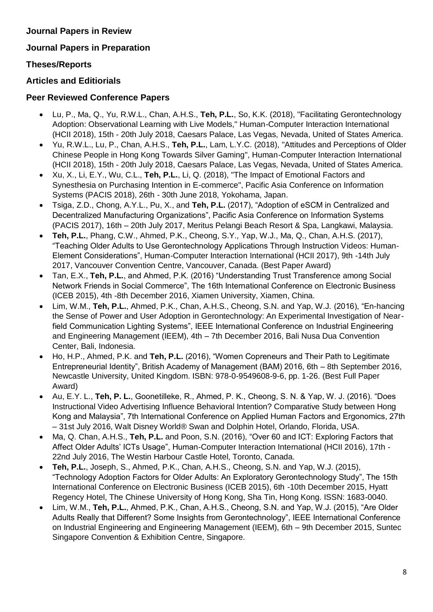#### **Journal Papers in Review**

### **Journal Papers in Preparation**

### **Theses/Reports**

### **Articles and Editiorials**

#### **Peer Reviewed Conference Papers**

- Lu, P., Ma, Q., Yu, R.W.L., Chan, A.H.S., **Teh, P.L.**, So, K.K. (2018), "Facilitating Gerontechnology Adoption: Observational Learning with Live Models," Human-Computer Interaction International (HCII 2018), 15th - 20th July 2018, Caesars Palace, Las Vegas, Nevada, United of States America.
- Yu, R.W.L., Lu, P., Chan, A.H.S., **Teh, P.L.**, Lam, L.Y.C. (2018), "Attitudes and Perceptions of Older Chinese People in Hong Kong Towards Silver Gaming", Human-Computer Interaction International (HCII 2018), 15th - 20th July 2018, Caesars Palace, Las Vegas, Nevada, United of States America.
- Xu, X., Li, E.Y., Wu, C.L., **Teh, P.L.**, Li, Q. (2018), "The Impact of Emotional Factors and Synesthesia on Purchasing Intention in E-commerce", Pacific Asia Conference on Information Systems (PACIS 2018), 26th - 30th June 2018, Yokohama, Japan.
- Tsiga, Z.D., Chong, A.Y.L., Pu, X., and **Teh, P.L.** (2017), "Adoption of eSCM in Centralized and Decentralized Manufacturing Organizations", Pacific Asia Conference on Information Systems (PACIS 2017), 16th – 20th July 2017, Meritus Pelangi Beach Resort & Spa, Langkawi, Malaysia.
- **Teh, P.L.**, Phang, C.W., Ahmed, P.K., Cheong, S.Y., Yap, W.J., Ma, Q., Chan, A.H.S. (2017), "Teaching Older Adults to Use Gerontechnology Applications Through Instruction Videos: Human-Element Considerations", Human-Computer Interaction International (HCII 2017), 9th -14th July 2017, Vancouver Convention Centre, Vancouver, Canada. (Best Paper Award)
- Tan, E.X., **Teh, P.L.**, and Ahmed, P.K. (2016) "Understanding Trust Transference among Social Network Friends in Social Commerce", The 16th International Conference on Electronic Business (ICEB 2015), 4th -8th December 2016, Xiamen University, Xiamen, China.
- Lim, W.M., **Teh, P.L.**, Ahmed, P.K., Chan, A.H.S., Cheong, S.N. and Yap, W.J. (2016), "En-hancing the Sense of Power and User Adoption in Gerontechnology: An Experimental Investigation of Nearfield Communication Lighting Systems", IEEE International Conference on Industrial Engineering and Engineering Management (IEEM), 4th – 7th December 2016, Bali Nusa Dua Convention Center, Bali, Indonesia.
- Ho, H.P., Ahmed, P.K. and **Teh, P.L.** (2016), "Women Copreneurs and Their Path to Legitimate Entrepreneurial Identity", British Academy of Management (BAM) 2016, 6th – 8th September 2016, Newcastle University, United Kingdom. ISBN: 978-0-9549608-9-6, pp. 1-26. (Best Full Paper Award)
- Au, E.Y. L., **Teh, P. L.**, Goonetilleke, R., Ahmed, P. K., Cheong, S. N. & Yap, W. J. (2016). "Does Instructional Video Advertising Influence Behavioral Intention? Comparative Study between Hong Kong and Malaysia", 7th International Conference on Applied Human Factors and Ergonomics, 27th – 31st July 2016, Walt Disney World® Swan and Dolphin Hotel, Orlando, Florida, USA.
- Ma, Q. Chan, A.H.S., **Teh, P.L.** and Poon, S.N. (2016), "Over 60 and ICT: Exploring Factors that Affect Older Adults' ICTs Usage", Human-Computer Interaction International (HCII 2016), 17th - 22nd July 2016, The Westin Harbour Castle Hotel, Toronto, Canada.
- **Teh, P.L.**, Joseph, S., Ahmed, P.K., Chan, A.H.S., Cheong, S.N. and Yap, W.J. (2015), "Technology Adoption Factors for Older Adults: An Exploratory Gerontechnology Study", The 15th International Conference on Electronic Business (ICEB 2015), 6th -10th December 2015, Hyatt Regency Hotel, The Chinese University of Hong Kong, Sha Tin, Hong Kong. ISSN: 1683-0040.
- Lim, W.M., **Teh, P.L.**, Ahmed, P.K., Chan, A.H.S., Cheong, S.N. and Yap, W.J. (2015), "Are Older Adults Really that Different? Some Insights from Gerontechnology", IEEE International Conference on Industrial Engineering and Engineering Management (IEEM), 6th – 9th December 2015, Suntec Singapore Convention & Exhibition Centre, Singapore.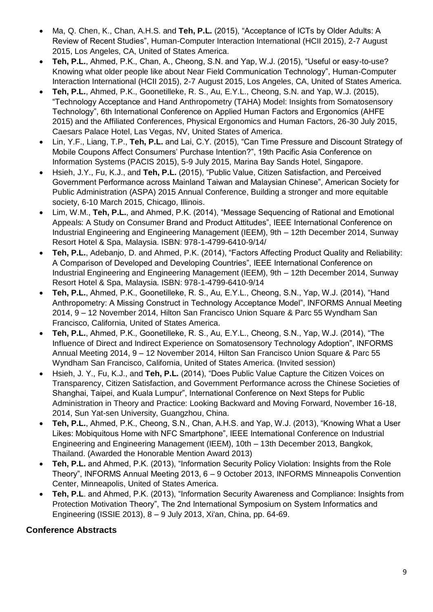- Ma, Q. Chen, K., Chan, A.H.S. and **Teh, P.L.** (2015), "Acceptance of ICTs by Older Adults: A Review of Recent Studies", Human-Computer Interaction International (HCII 2015), 2-7 August 2015, Los Angeles, CA, United of States America.
- **Teh, P.L.**, Ahmed, P.K., Chan, A., Cheong, S.N. and Yap, W.J. (2015), "Useful or easy-to-use? Knowing what older people like about Near Field Communication Technology", Human-Computer Interaction International (HCII 2015), 2-7 August 2015, Los Angeles, CA, United of States America.
- **Teh, P.L.**, Ahmed, P.K., Goonetilleke, R. S., Au, E.Y.L., Cheong, S.N. and Yap, W.J. (2015), "Technology Acceptance and Hand Anthropometry (TAHA) Model: Insights from Somatosensory Technology", 6th International Conference on Applied Human Factors and Ergonomics (AHFE 2015) and the Affiliated Conferences, Physical Ergonomics and Human Factors, 26-30 July 2015, Caesars Palace Hotel, Las Vegas, NV, United States of America.
- Lin, Y.F., Liang, T.P., **Teh, P.L.** and Lai, C.Y. (2015), "Can Time Pressure and Discount Strategy of Mobile Coupons Affect Consumers' Purchase Intention?", 19th Pacific Asia Conference on Information Systems (PACIS 2015), 5-9 July 2015, Marina Bay Sands Hotel, Singapore.
- Hsieh, J.Y., Fu, K.J., and **Teh, P.L.** (2015), "Public Value, Citizen Satisfaction, and Perceived Government Performance across Mainland Taiwan and Malaysian Chinese", American Society for Public Administration (ASPA) 2015 Annual Conference, Building a stronger and more equitable society, 6-10 March 2015, Chicago, Illinois.
- Lim, W.M., **Teh, P.L.**, and Ahmed, P.K. (2014), "Message Sequencing of Rational and Emotional Appeals: A Study on Consumer Brand and Product Attitudes", IEEE International Conference on Industrial Engineering and Engineering Management (IEEM), 9th – 12th December 2014, Sunway Resort Hotel & Spa, Malaysia. ISBN: 978-1-4799-6410-9/14/
- **Teh, P.L.**, Adebanjo, D. and Ahmed, P.K. (2014), "Factors Affecting Product Quality and Reliability: A Comparison of Developed and Developing Countries", IEEE International Conference on Industrial Engineering and Engineering Management (IEEM), 9th – 12th December 2014, Sunway Resort Hotel & Spa, Malaysia. ISBN: 978-1-4799-6410-9/14
- **Teh, P.L.**, Ahmed, P.K., Goonetilleke, R. S., Au, E.Y.L., Cheong, S.N., Yap, W.J. (2014), "Hand Anthropometry: A Missing Construct in Technology Acceptance Model", INFORMS Annual Meeting 2014, 9 – 12 November 2014, Hilton San Francisco Union Square & Parc 55 Wyndham San Francisco, California, United of States America.
- **Teh, P.L.**, Ahmed, P.K., Goonetilleke, R. S., Au, E.Y.L., Cheong, S.N., Yap, W.J. (2014), "The Influence of Direct and Indirect Experience on Somatosensory Technology Adoption", INFORMS Annual Meeting 2014, 9 – 12 November 2014, Hilton San Francisco Union Square & Parc 55 Wyndham San Francisco, California, United of States America. (Invited session)
- Hsieh, J. Y., Fu, K.J., and **Teh, P.L.** (2014), "Does Public Value Capture the Citizen Voices on Transparency, Citizen Satisfaction, and Government Performance across the Chinese Societies of Shanghai, Taipei, and Kuala Lumpur", International Conference on Next Steps for Public Administration in Theory and Practice: Looking Backward and Moving Forward, November 16-18, 2014, Sun Yat-sen University, Guangzhou, China.
- **Teh, P.L.**, Ahmed, P.K., Cheong, S.N., Chan, A.H.S. and Yap, W.J. (2013), "Knowing What a User Likes: Mobiquitous Home with NFC Smartphone", IEEE International Conference on Industrial Engineering and Engineering Management (IEEM), 10th – 13th December 2013, Bangkok, Thailand. (Awarded the Honorable Mention Award 2013)
- **Teh, P.L.** and Ahmed, P.K. (2013), "Information Security Policy Violation: Insights from the Role Theory", INFORMS Annual Meeting 2013, 6 – 9 October 2013, INFORMS Minneapolis Convention Center, Minneapolis, United of States America.
- **Teh, P.L**. and Ahmed, P.K. (2013), "Information Security Awareness and Compliance: Insights from Protection Motivation Theory", The 2nd International Symposium on System Informatics and Engineering (ISSIE 2013), 8 – 9 July 2013, Xi'an, China, pp. 64-69.

### **Conference Abstracts**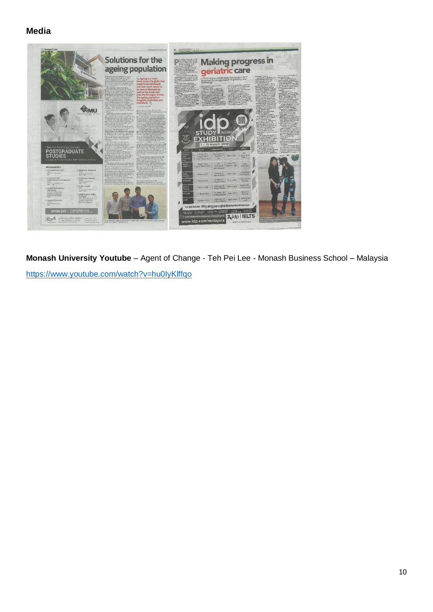## **Media**



**Monash University Youtube** – Agent of Change - Teh Pei Lee - Monash Business School – Malaysia <https://www.youtube.com/watch?v=hu0IyKlffqo>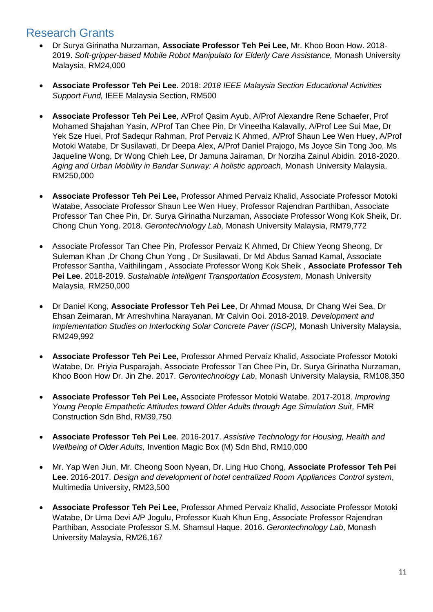## <span id="page-10-0"></span>Research Grants

- Dr Surya Girinatha Nurzaman, **Associate Professor Teh Pei Lee**, Mr. Khoo Boon How. 2018- 2019. *Soft-gripper-based Mobile Robot Manipulato for Elderly Care Assistance,* Monash University Malaysia, RM24,000
- **Associate Professor Teh Pei Lee**. 2018: *2018 IEEE Malaysia Section Educational Activities Support Fund,* IEEE Malaysia Section, RM500
- **Associate Professor Teh Pei Lee**, A/Prof Qasim Ayub, A/Prof Alexandre Rene Schaefer, Prof Mohamed Shajahan Yasin, A/Prof Tan Chee Pin, Dr Vineetha Kalavally, A/Prof Lee Sui Mae, Dr Yek Sze Huei, Prof Sadequr Rahman, Prof Pervaiz K Ahmed, A/Prof Shaun Lee Wen Huey, A/Prof Motoki Watabe, Dr Susilawati, Dr Deepa Alex, A/Prof Daniel Prajogo, Ms Joyce Sin Tong Joo, Ms Jaqueline Wong, Dr Wong Chieh Lee, Dr Jamuna Jairaman, Dr Norziha Zainul Abidin. 2018-2020. *Aging and Urban Mobility in Bandar Sunway: A holistic approach,* Monash University Malaysia, RM250,000
- **Associate Professor Teh Pei Lee,** Professor Ahmed Pervaiz Khalid, Associate Professor Motoki Watabe, Associate Professor Shaun Lee Wen Huey, Professor Rajendran Parthiban, Associate Professor Tan Chee Pin, Dr. Surya Girinatha Nurzaman, Associate Professor Wong Kok Sheik, Dr. Chong Chun Yong. 2018. *Gerontechnology Lab,* Monash University Malaysia, RM79,772
- Associate Professor Tan Chee Pin, Professor Pervaiz K Ahmed, Dr Chiew Yeong Sheong, Dr Suleman Khan ,Dr Chong Chun Yong , Dr Susilawati, Dr Md Abdus Samad Kamal, Associate Professor Santha, Vaithilingam , Associate Professor Wong Kok Sheik , **Associate Professor Teh Pei Lee**. 2018-2019. *Sustainable Intelligent Transportation Ecosystem,* Monash University Malaysia, RM250,000
- Dr Daniel Kong, **Associate Professor Teh Pei Lee**, Dr Ahmad Mousa, Dr Chang Wei Sea, Dr Ehsan Zeimaran, Mr Arreshvhina Narayanan, Mr Calvin Ooi. 2018-2019. *Development and Implementation Studies on Interlocking Solar Concrete Paver (ISCP),* Monash University Malaysia, RM249,992
- **Associate Professor Teh Pei Lee,** Professor Ahmed Pervaiz Khalid, Associate Professor Motoki Watabe, Dr. Priyia Pusparajah, Associate Professor Tan Chee Pin, Dr. Surya Girinatha Nurzaman, Khoo Boon How Dr. Jin Zhe. 2017. *Gerontechnology Lab*, Monash University Malaysia, RM108,350
- **Associate Professor Teh Pei Lee,** Associate Professor Motoki Watabe. 2017-2018. *Improving*  Young People Empathetic Attitudes toward Older Adults through Age Simulation Suit, FMR Construction Sdn Bhd, RM39,750
- **Associate Professor Teh Pei Lee**. 2016-2017. *Assistive Technology for Housing, Health and Wellbeing of Older Adults,* Invention Magic Box (M) Sdn Bhd, RM10,000
- Mr. Yap Wen Jiun, Mr. Cheong Soon Nyean, Dr. Ling Huo Chong, **Associate Professor Teh Pei Lee**. 2016-2017. *Design and development of hotel centralized Room Appliances Control system*, Multimedia University, RM23,500
- **Associate Professor Teh Pei Lee,** Professor Ahmed Pervaiz Khalid, Associate Professor Motoki Watabe, Dr Uma Devi A/P Jogulu, Professor Kuah Khun Eng, Associate Professor Rajendran Parthiban, Associate Professor S.M. Shamsul Haque. 2016. *Gerontechnology Lab*, Monash University Malaysia, RM26,167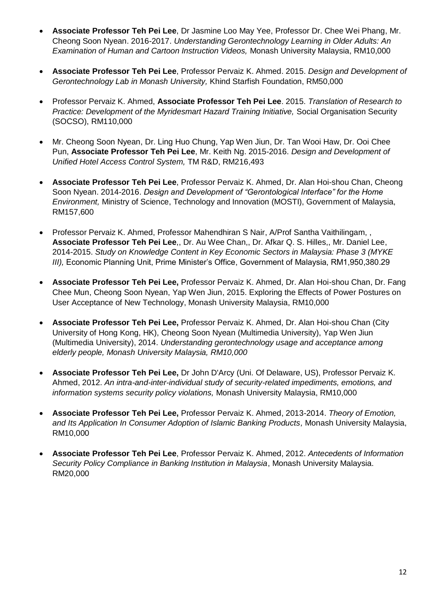- **Associate Professor Teh Pei Lee**, Dr Jasmine Loo May Yee, Professor Dr. Chee Wei Phang, Mr. Cheong Soon Nyean. 2016-2017. *Understanding Gerontechnology Learning in Older Adults: An Examination of Human and Cartoon Instruction Videos,* Monash University Malaysia, RM10,000
- **Associate Professor Teh Pei Lee**, Professor Pervaiz K. Ahmed. 2015. *Design and Development of Gerontechnology Lab in Monash University,* Khind Starfish Foundation, RM50,000
- Professor Pervaiz K. Ahmed, **Associate Professor Teh Pei Lee**. 2015. *Translation of Research to Practice: Development of the Myridesmart Hazard Training Initiative, Social Organisation Security* (SOCSO), RM110,000
- Mr. Cheong Soon Nyean, Dr. Ling Huo Chung, Yap Wen Jiun, Dr. Tan Wooi Haw, Dr. Ooi Chee Pun, **Associate Professor Teh Pei Lee**, Mr. Keith Ng. 2015-2016. *Design and Development of Unified Hotel Access Control System,* TM R&D, RM216,493
- **Associate Professor Teh Pei Lee**, Professor Pervaiz K. Ahmed, Dr. Alan Hoi-shou Chan, Cheong Soon Nyean. 2014-2016. *Design and Development of "Gerontological Interface" for the Home Environment,* Ministry of Science, Technology and Innovation (MOSTI), Government of Malaysia, RM157,600
- Professor Pervaiz K. Ahmed, Professor Mahendhiran S Nair, A/Prof Santha Vaithilingam, , **Associate Professor Teh Pei Lee**,, Dr. Au Wee Chan,, Dr. Afkar Q. S. Hilles,, Mr. Daniel Lee, 2014-2015. *Study on Knowledge Content in Key Economic Sectors in Malaysia: Phase 3 (MYKE III),* Economic Planning Unit, Prime Minister's Office, Government of Malaysia, RM1,950,380.29
- **Associate Professor Teh Pei Lee,** Professor Pervaiz K. Ahmed, Dr. Alan Hoi-shou Chan, Dr. Fang Chee Mun, Cheong Soon Nyean, Yap Wen Jiun, 2015. Exploring the Effects of Power Postures on User Acceptance of New Technology, Monash University Malaysia, RM10,000
- **Associate Professor Teh Pei Lee,** Professor Pervaiz K. Ahmed, Dr. Alan Hoi-shou Chan (City University of Hong Kong, HK), Cheong Soon Nyean (Multimedia University), Yap Wen Jiun (Multimedia University), 2014. *Understanding gerontechnology usage and acceptance among elderly people, Monash University Malaysia, RM10,000*
- **Associate Professor Teh Pei Lee,** Dr John D'Arcy (Uni. Of Delaware, US), Professor Pervaiz K. Ahmed, 2012. *An intra-and-inter-individual study of security-related impediments, emotions, and information systems security policy violations,* Monash University Malaysia, RM10,000
- **Associate Professor Teh Pei Lee,** Professor Pervaiz K. Ahmed, 2013-2014. *Theory of Emotion, and Its Application In Consumer Adoption of Islamic Banking Products,* Monash University Malaysia, RM10,000
- <span id="page-11-0"></span> **Associate Professor Teh Pei Lee**, Professor Pervaiz K. Ahmed, 2012. *Antecedents of Information Security Policy Compliance in Banking Institution in Malaysia*, Monash University Malaysia. RM20,000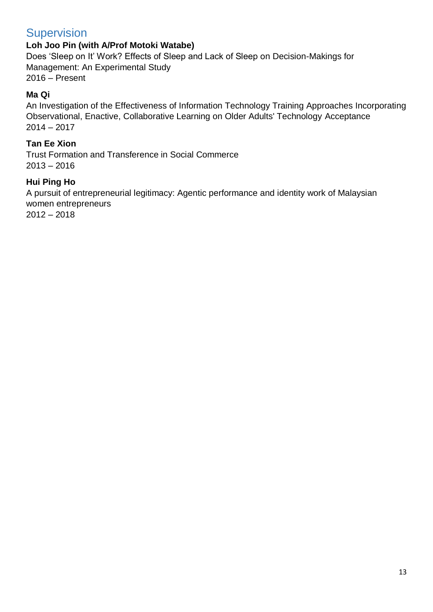## **Supervision**

## **Loh Joo Pin (with A/Prof Motoki Watabe)**

Does 'Sleep on It' Work? Effects of Sleep and Lack of Sleep on Decision-Makings for Management: An Experimental Study 2016 – Present

#### **Ma Qi**

An Investigation of the Effectiveness of Information Technology Training Approaches Incorporating Observational, Enactive, Collaborative Learning on Older Adults' Technology Acceptance 2014 – 2017

#### **Tan Ee Xion**

Trust Formation and Transference in Social Commerce  $2013 - 2016$ 

#### **Hui Ping Ho**

A pursuit of entrepreneurial legitimacy: Agentic performance and identity work of Malaysian women entrepreneurs

<span id="page-12-0"></span> $2012 - 2018$